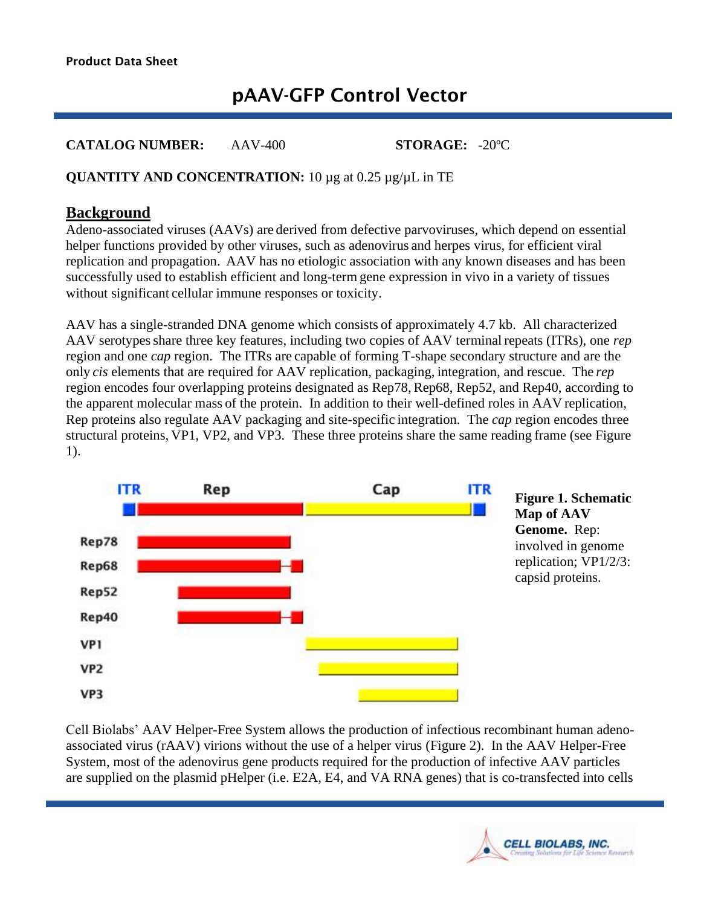# pAAV-GFP Control Vector

**CATALOG NUMBER:** AAV-400 **STORAGE:** -20ºC

#### **QUANTITY AND CONCENTRATION:** 10 µg at 0.25 µg/µL in TE

#### **Background**

Adeno-associated viruses (AAVs) are derived from defective parvoviruses, which depend on essential helper functions provided by other viruses, such as adenovirus and herpes virus, for efficient viral replication and propagation. AAV has no etiologic association with any known diseases and has been successfully used to establish efficient and long-term gene expression in vivo in a variety of tissues without significant cellular immune responses or toxicity.

AAV has a single-stranded DNA genome which consists of approximately 4.7 kb. All characterized AAV serotypes share three key features, including two copies of AAV terminal repeats (ITRs), one *rep* region and one *cap* region. The ITRs are capable of forming T-shape secondary structure and are the only *cis* elements that are required for AAV replication, packaging, integration, and rescue. The *rep* region encodes four overlapping proteins designated as Rep78, Rep68, Rep52, and Rep40, according to the apparent molecular mass of the protein. In addition to their well-defined roles in AAV replication, Rep proteins also regulate AAV packaging and site-specific integration. The *cap* region encodes three structural proteins, VP1, VP2, and VP3. These three proteins share the same reading frame (see Figure 1).



**Figure 1. Schematic Map of AAV Genome.** Rep: involved in genome replication; VP1/2/3: capsid proteins.

Cell Biolabs' AAV Helper-Free System allows the production of infectious recombinant human adenoassociated virus (rAAV) virions without the use of a helper virus (Figure 2). In the AAV Helper-Free System, most of the adenovirus gene products required for the production of infective AAV particles are supplied on the plasmid pHelper (i.e. E2A, E4, and VA RNA genes) that is co-transfected into cells

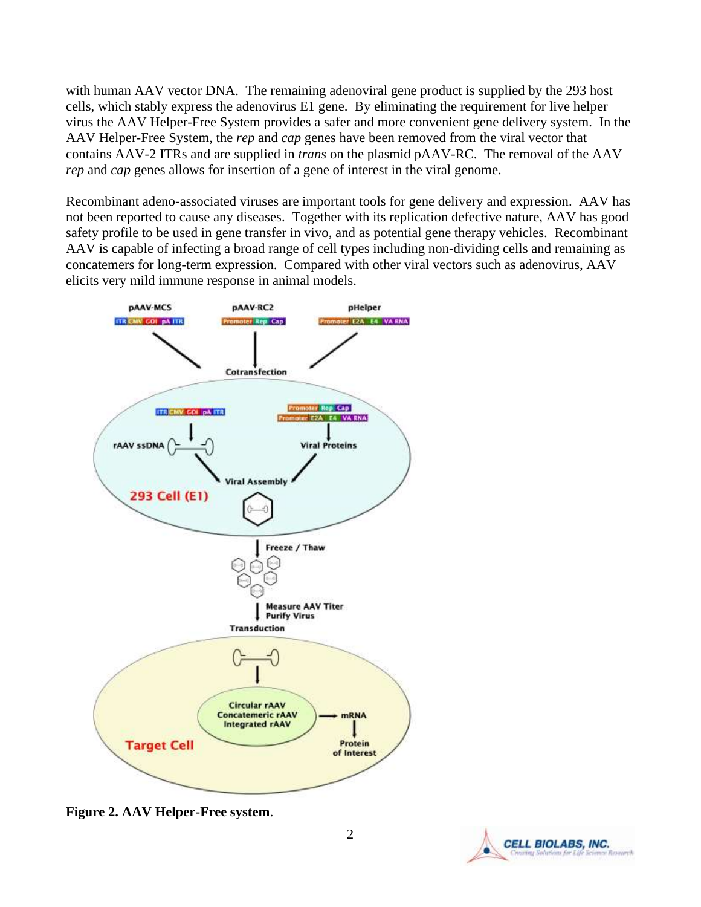with human AAV vector DNA. The remaining adenoviral gene product is supplied by the 293 host cells, which stably express the adenovirus E1 gene. By eliminating the requirement for live helper virus the AAV Helper-Free System provides a safer and more convenient gene delivery system. In the AAV Helper-Free System, the *rep* and *cap* genes have been removed from the viral vector that contains AAV-2 ITRs and are supplied in *trans* on the plasmid pAAV-RC. The removal of the AAV *rep* and *cap* genes allows for insertion of a gene of interest in the viral genome.

Recombinant adeno-associated viruses are important tools for gene delivery and expression. AAV has not been reported to cause any diseases. Together with its replication defective nature, AAV has good safety profile to be used in gene transfer in vivo, and as potential gene therapy vehicles. Recombinant AAV is capable of infecting a broad range of cell types including non-dividing cells and remaining as concatemers for long-term expression. Compared with other viral vectors such as adenovirus, AAV elicits very mild immune response in animal models.



**Figure 2. AAV Helper-Free system**.

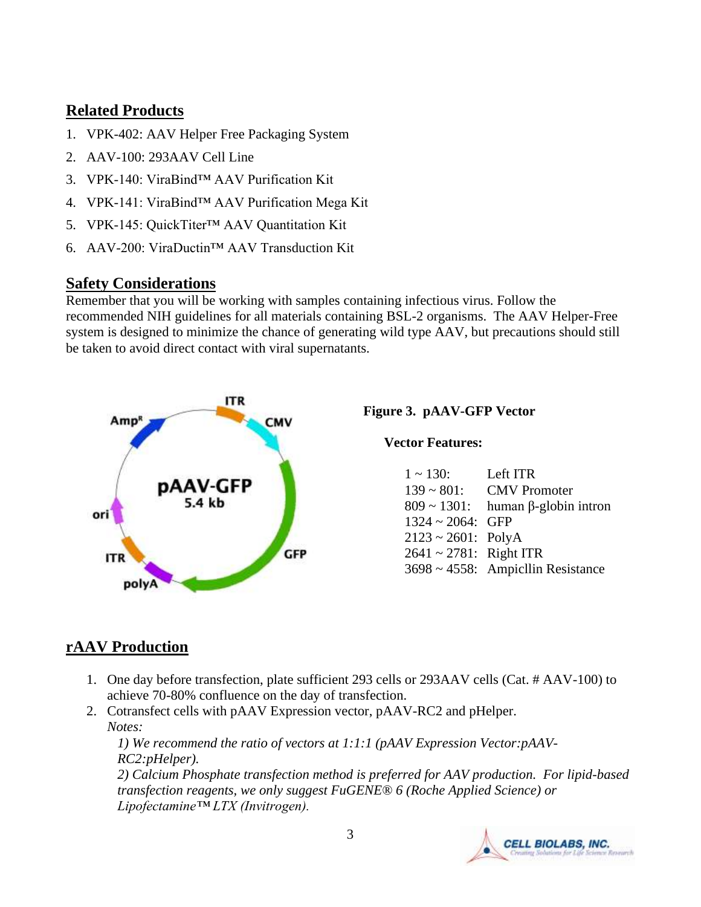### **Related Products**

- 1. VPK-402: AAV Helper Free Packaging System
- 2. AAV-100: 293AAV Cell Line
- 3. VPK-140: ViraBind™ AAV Purification Kit
- 4. VPK-141: ViraBind™ AAV Purification Mega Kit
- 5. VPK-145: QuickTiter™ AAV Quantitation Kit
- 6. AAV-200: ViraDuctin™ AAV Transduction Kit

### **Safety Considerations**

Remember that you will be working with samples containing infectious virus. Follow the recommended NIH guidelines for all materials containing BSL-2 organisms. The AAV Helper-Free system is designed to minimize the chance of generating wild type AAV, but precautions should still be taken to avoid direct contact with viral supernatants.



#### **Figure 3. pAAV-GFP Vector**

**Vector Features:**

| $1 \sim 130$ :               | Left ITR                                       |
|------------------------------|------------------------------------------------|
| $139 \sim 801$ :             | <b>CMV</b> Promoter                            |
|                              | $809 \sim 1301$ : human $\beta$ -globin intron |
| $1324 \sim 2064$ : GFP       |                                                |
| $2123 \sim 2601$ : PolyA     |                                                |
| $2641 \sim 2781$ : Right ITR |                                                |
|                              | 3698 ~ 4558: AmpicIlin Resistance              |

# **rAAV Production**

- 1. One day before transfection, plate sufficient 293 cells or 293AAV cells (Cat. # AAV-100) to achieve 70-80% confluence on the day of transfection.
- 2. Cotransfect cells with pAAV Expression vector, pAAV-RC2 and pHelper. *Notes:*

*1) We recommend the ratio of vectors at 1:1:1 (pAAV Expression Vector:pAAV-RC2:pHelper).* 

*2) Calcium Phosphate transfection method is preferred for AAV production. For lipid-based transfection reagents, we only suggest FuGENE® 6 (Roche Applied Science) or Lipofectamine™ LTX (Invitrogen).* 

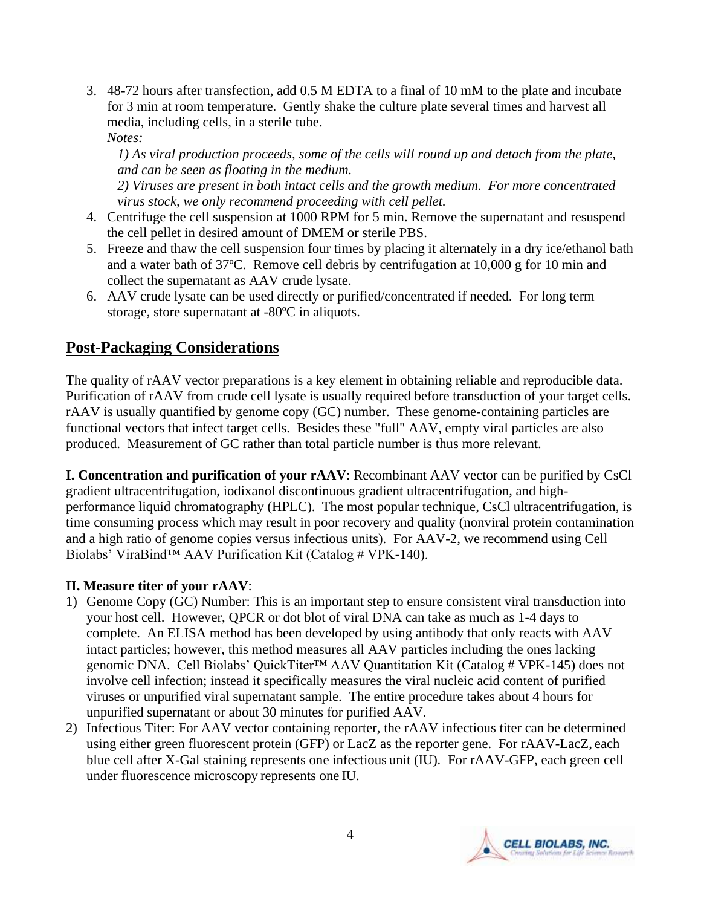3. 48-72 hours after transfection, add 0.5 M EDTA to a final of 10 mM to the plate and incubate for 3 min at room temperature. Gently shake the culture plate several times and harvest all media, including cells, in a sterile tube. *Notes:* 

*1) As viral production proceeds, some of the cells will round up and detach from the plate, and can be seen as floating in the medium.* 

*2) Viruses are present in both intact cells and the growth medium. For more concentrated virus stock, we only recommend proceeding with cell pellet.* 

- 4. Centrifuge the cell suspension at 1000 RPM for 5 min. Remove the supernatant and resuspend the cell pellet in desired amount of DMEM or sterile PBS.
- 5. Freeze and thaw the cell suspension four times by placing it alternately in a dry ice/ethanol bath and a water bath of 37ºC. Remove cell debris by centrifugation at 10,000 g for 10 min and collect the supernatant as AAV crude lysate.
- 6. AAV crude lysate can be used directly or purified/concentrated if needed. For long term storage, store supernatant at -80ºC in aliquots.

# **Post-Packaging Considerations**

The quality of rAAV vector preparations is a key element in obtaining reliable and reproducible data. Purification of rAAV from crude cell lysate is usually required before transduction of your target cells. rAAV is usually quantified by genome copy (GC) number. These genome-containing particles are functional vectors that infect target cells. Besides these "full" AAV, empty viral particles are also produced. Measurement of GC rather than total particle number is thus more relevant.

**I. Concentration and purification of your rAAV**: Recombinant AAV vector can be purified by CsCl gradient ultracentrifugation, iodixanol discontinuous gradient ultracentrifugation, and highperformance liquid chromatography (HPLC). The most popular technique, CsCl ultracentrifugation, is time consuming process which may result in poor recovery and quality (nonviral protein contamination and a high ratio of genome copies versus infectious units). For AAV-2, we recommend using Cell Biolabs' ViraBind™ AAV Purification Kit (Catalog # VPK-140).

#### **II. Measure titer of your rAAV**:

- 1) Genome Copy (GC) Number: This is an important step to ensure consistent viral transduction into your host cell. However, QPCR or dot blot of viral DNA can take as much as 1-4 days to complete. An ELISA method has been developed by using antibody that only reacts with AAV intact particles; however, this method measures all AAV particles including the ones lacking genomic DNA. Cell Biolabs' QuickTiter™ AAV Quantitation Kit (Catalog # VPK-145) does not involve cell infection; instead it specifically measures the viral nucleic acid content of purified viruses or unpurified viral supernatant sample. The entire procedure takes about 4 hours for unpurified supernatant or about 30 minutes for purified AAV.
- 2) Infectious Titer: For AAV vector containing reporter, the rAAV infectious titer can be determined using either green fluorescent protein (GFP) or LacZ as the reporter gene. For rAAV-LacZ, each blue cell after X-Gal staining represents one infectious unit (IU). For rAAV-GFP, each green cell under fluorescence microscopy represents one IU.

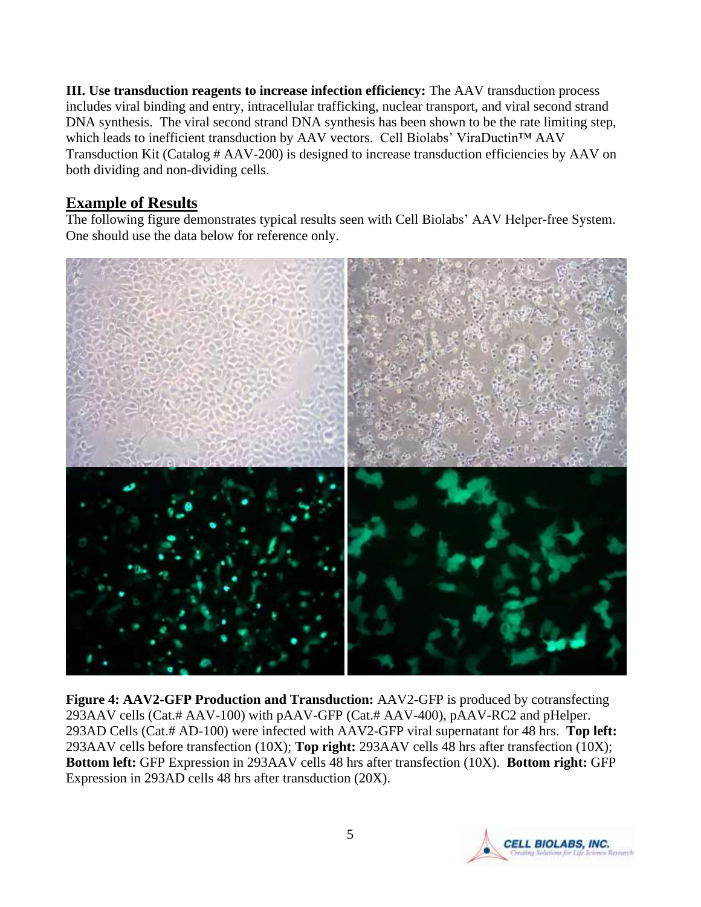**III. Use transduction reagents to increase infection efficiency:** The AAV transduction process includes viral binding and entry, intracellular trafficking, nuclear transport, and viral second strand DNA synthesis. The viral second strand DNA synthesis has been shown to be the rate limiting step, which leads to inefficient transduction by AAV vectors. Cell Biolabs' ViraDuctin™ AAV Transduction Kit (Catalog # AAV-200) is designed to increase transduction efficiencies by AAV on both dividing and non-dividing cells.

# **Example of Results**

The following figure demonstrates typical results seen with Cell Biolabs' AAV Helper-free System. One should use the data below for reference only.



**Figure 4: AAV2-GFP Production and Transduction:** AAV2-GFP is produced by cotransfecting 293AAV cells (Cat.# AAV-100) with pAAV-GFP (Cat.# AAV-400), pAAV-RC2 and pHelper. 293AD Cells (Cat.# AD-100) were infected with AAV2-GFP viral supernatant for 48 hrs. **Top left:** 293AAV cells before transfection (10X); **Top right:** 293AAV cells 48 hrs after transfection (10X); **Bottom left:** GFP Expression in 293AAV cells 48 hrs after transfection (10X). **Bottom right:** GFP Expression in 293AD cells 48 hrs after transduction (20X).

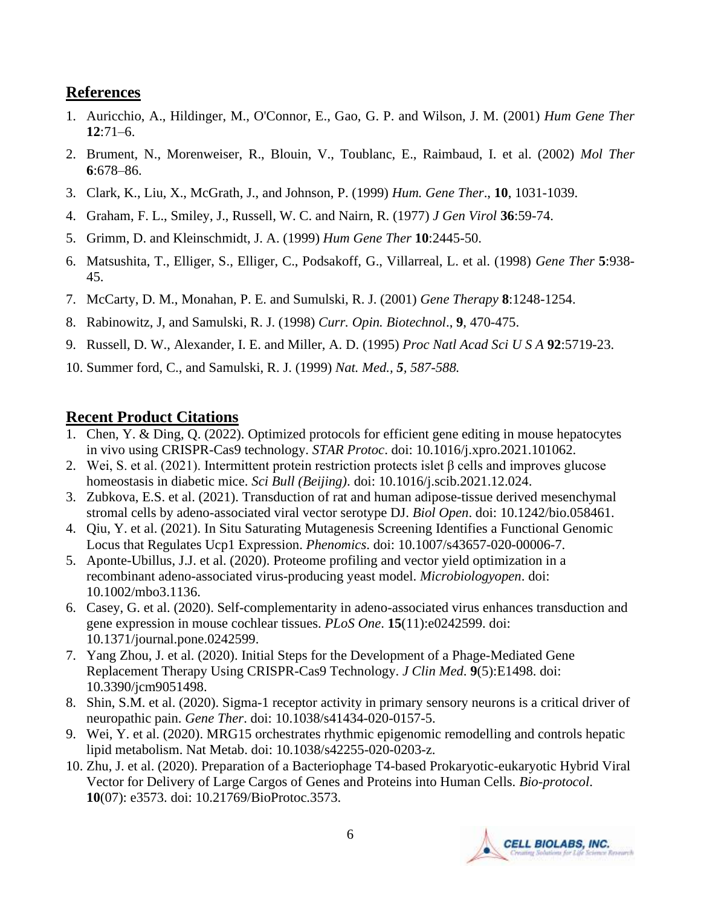### **References**

- 1. Auricchio, A., Hildinger, M., O'Connor, E., Gao, G. P. and Wilson, J. M. (2001) *Hum Gene Ther*  **12**:71–6.
- 2. Brument, N., Morenweiser, R., Blouin, V., Toublanc, E., Raimbaud, I. et al. (2002) *Mol Ther*  **6**:678–86.
- 3. Clark, K., Liu, X., McGrath, J., and Johnson, P. (1999) *Hum. Gene Ther*., **10**, 1031-1039.
- 4. Graham, F. L., Smiley, J., Russell, W. C. and Nairn, R. (1977) *J Gen Virol* **36**:59-74.
- 5. Grimm, D. and Kleinschmidt, J. A. (1999) *Hum Gene Ther* **10**:2445-50.
- 6. Matsushita, T., Elliger, S., Elliger, C., Podsakoff, G., Villarreal, L. et al. (1998) *Gene Ther* **5**:938- 45.
- 7. McCarty, D. M., Monahan, P. E. and Sumulski, R. J. (2001) *Gene Therapy* **8**:1248-1254.
- 8. Rabinowitz, J, and Samulski, R. J. (1998) *Curr. Opin. Biotechnol*., **9**, 470-475.
- 9. Russell, D. W., Alexander, I. E. and Miller, A. D. (1995) *Proc Natl Acad Sci U S A* **92**:5719-23.
- 10. Summer ford, C., and Samulski, R. J. (1999) *Nat. Med., 5, 587-588.*

### **Recent Product Citations**

- 1. Chen, Y. & Ding, Q. (2022). Optimized protocols for efficient gene editing in mouse hepatocytes in vivo using CRISPR-Cas9 technology. *STAR Protoc*. doi: 10.1016/j.xpro.2021.101062.
- 2. Wei, S. et al. (2021). Intermittent protein restriction protects islet β cells and improves glucose homeostasis in diabetic mice. *Sci Bull (Beijing)*. doi: 10.1016/j.scib.2021.12.024.
- 3. Zubkova, E.S. et al. (2021). Transduction of rat and human adipose-tissue derived mesenchymal stromal cells by adeno-associated viral vector serotype DJ. *Biol Open*. doi: 10.1242/bio.058461.
- 4. Qiu, Y. et al. (2021). In Situ Saturating Mutagenesis Screening Identifies a Functional Genomic Locus that Regulates Ucp1 Expression. *Phenomics*. doi: 10.1007/s43657-020-00006-7.
- 5. Aponte-Ubillus, J.J. et al. (2020). Proteome profiling and vector yield optimization in a recombinant adeno-associated virus-producing yeast model. *Microbiologyopen*. doi: 10.1002/mbo3.1136.
- 6. Casey, G. et al. (2020). Self-complementarity in adeno-associated virus enhances transduction and gene expression in mouse cochlear tissues. *PLoS One*. **15**(11):e0242599. doi: 10.1371/journal.pone.0242599.
- 7. Yang Zhou, J. et al. (2020). Initial Steps for the Development of a Phage-Mediated Gene Replacement Therapy Using CRISPR-Cas9 Technology. *J Clin Med*. **9**(5):E1498. doi: 10.3390/jcm9051498.
- 8. Shin, S.M. et al. (2020). Sigma-1 receptor activity in primary sensory neurons is a critical driver of neuropathic pain. *Gene Ther*. doi: 10.1038/s41434-020-0157-5.
- 9. Wei, Y. et al. (2020). MRG15 orchestrates rhythmic epigenomic remodelling and controls hepatic lipid metabolism. Nat Metab. doi: 10.1038/s42255-020-0203-z.
- 10. Zhu, J. et al. (2020). Preparation of a Bacteriophage T4-based Prokaryotic-eukaryotic Hybrid Viral Vector for Delivery of Large Cargos of Genes and Proteins into Human Cells. *Bio-protocol*. **10**(07): e3573. doi: 10.21769/BioProtoc.3573.

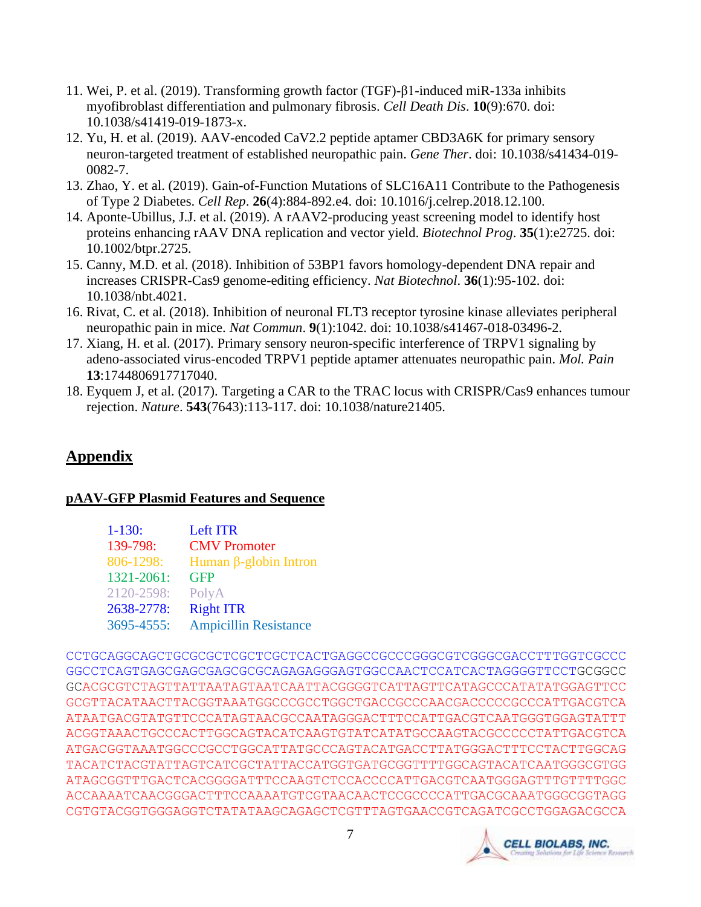- 11. Wei, P. et al. (2019). Transforming growth factor (TGF)-β1-induced miR-133a inhibits myofibroblast differentiation and pulmonary fibrosis. *Cell Death Dis*. **10**(9):670. doi: 10.1038/s41419-019-1873-x.
- 12. Yu, H. et al. (2019). AAV-encoded CaV2.2 peptide aptamer CBD3A6K for primary sensory neuron-targeted treatment of established neuropathic pain. *Gene Ther*. doi: 10.1038/s41434-019- 0082-7.
- 13. Zhao, Y. et al. (2019). Gain-of-Function Mutations of SLC16A11 Contribute to the Pathogenesis of Type 2 Diabetes. *Cell Rep*. **26**(4):884-892.e4. doi: 10.1016/j.celrep.2018.12.100.
- 14. Aponte-Ubillus, J.J. et al. (2019). A rAAV2-producing yeast screening model to identify host proteins enhancing rAAV DNA replication and vector yield. *Biotechnol Prog*. **35**(1):e2725. doi: 10.1002/btpr.2725.
- 15. Canny, M.D. et al. (2018). Inhibition of 53BP1 favors homology-dependent DNA repair and increases CRISPR-Cas9 genome-editing efficiency. *Nat Biotechnol*. **36**(1):95-102. doi: 10.1038/nbt.4021.
- 16. Rivat, C. et al. (2018). Inhibition of neuronal FLT3 receptor tyrosine kinase alleviates peripheral neuropathic pain in mice. *Nat Commun*. **9**(1):1042. doi: 10.1038/s41467-018-03496-2.
- 17. Xiang, H. et al. (2017). Primary sensory neuron-specific interference of TRPV1 signaling by adeno-associated virus-encoded TRPV1 peptide aptamer attenuates neuropathic pain. *Mol. Pain* **13**:1744806917717040.
- 18. Eyquem J, et al. (2017). Targeting a CAR to the TRAC locus with CRISPR/Cas9 enhances tumour rejection. *Nature*. **543**(7643):113-117. doi: 10.1038/nature21405.

# **Appendix**

#### **pAAV-GFP Plasmid Features and Sequence**

| $1-130:$   | <b>Left ITR</b>              |
|------------|------------------------------|
| 139-798:   | <b>CMV</b> Promoter          |
| 806-1298:  | Human β-globin Intron        |
| 1321-2061: | <b>GFP</b>                   |
| 2120-2598: | PolyA                        |
| 2638-2778: | <b>Right ITR</b>             |
| 3695-4555: | <b>Ampicillin Resistance</b> |

CCTGCAGGCAGCTGCGCGCTCGCTCGCTCACTGAGGCCGCCCGGGCGTCGGGCGACCTTTGGTCGCCC GGCCTCAGTGAGCGAGCGAGCGCGCAGAGAGGGAGTGGCCAACTCCATCACTAGGGGTTCCTGCGGCC GCACGCGTCTAGTTATTAATAGTAATCAATTACGGGGTCATTAGTTCATAGCCCATATATGGAGTTCC GCGTTACATAACTTACGGTAAATGGCCCGCCTGGCTGACCGCCCAACGACCCCCGCCCATTGACGTCA ATAATGACGTATGTTCCCATAGTAACGCCAATAGGGACTTTCCATTGACGTCAATGGGTGGAGTATTT ACGGTAAACTGCCCACTTGGCAGTACATCAAGTGTATCATATGCCAAGTACGCCCCCTATTGACGTCA ATGACGGTAAATGGCCCGCCTGGCATTATGCCCAGTACATGACCTTATGGGACTTTCCTACTTGGCAG TACATCTACGTATTAGTCATCGCTATTACCATGGTGATGCGGTTTTGGCAGTACATCAATGGGCGTGG ATAGCGGTTTGACTCACGGGGATTTCCAAGTCTCCACCCCATTGACGTCAATGGGAGTTTGTTTTGGC ACCAAAATCAACGGGACTTTCCAAAATGTCGTAACAACTCCGCCCCATTGACGCAAATGGGCGGTAGG CGTGTACGGTGGGAGGTCTATATAAGCAGAGCTCGTTTAGTGAACCGTCAGATCGCCTGGAGACGCCA

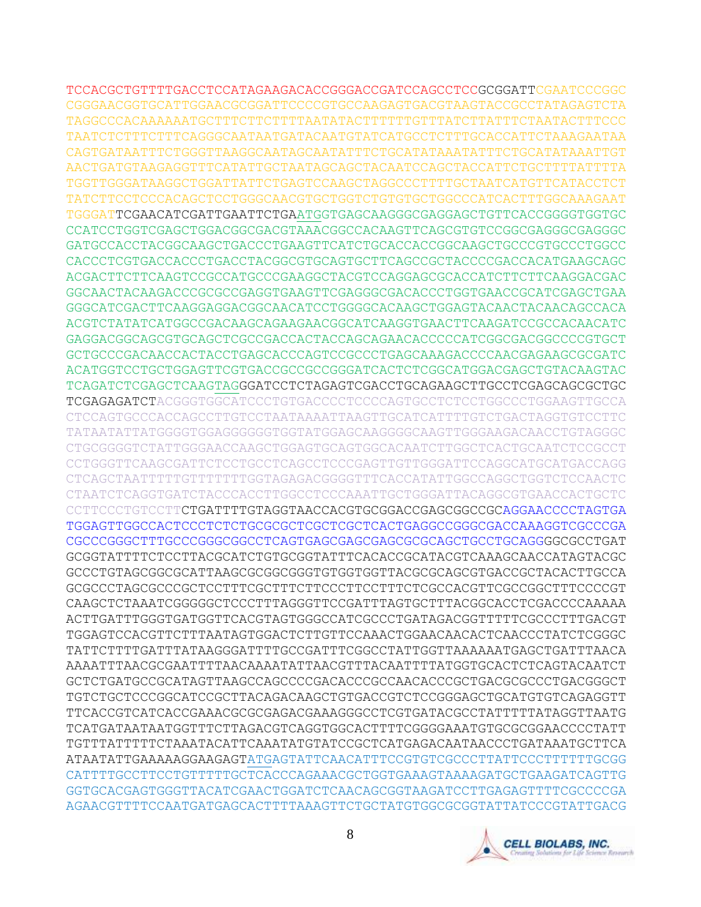TCCACGCTGTTTTGACCTCCATAGAAGACACCGGGACCGATCCAGCCTCCGCGGATTCGAATCCCGGC CGGGAACGGTGCATTGGAACGCGGATTCCCCGTGCCAAGAGTGACGTAAGTACCGCCTATAGAGTCTA TAGGCCCACAAAAAATGCTTTCTTCTTTTAATATACTTTTTTGTTTATCTTATTTCTAATACTTTCCC TAATCTCTTTCTTTCAGGGCAATAATGATACAATGTATCATGCCTCTTTGCACCATTCTAAAGAATAA CAGTGATAATTTCTGGGTTAAGGCAATAGCAATATTTCTGCATATAAATATTTCTGCATATAAATTGT AACTGATGTAAGAGGTTTCATATTGCTAATAGCAGCTACAATCCAGCTACCATTCTGCTTTTATTTTA TGGTTGGGATAAGGCTGGATTATTCTGAGTCCAAGCTAGGCCCTTTTGCTAATCATGTTCATACCTCT TATCTTCCTCCCACAGCTCCTGGGCAACGTGCTGGTCTGTGTGCTGGCCCATCACTTTGGCAAAGAAT TGGGATTCGAACATCGATTGAATTCTGAATGGTGAGCAAGGGCGAGGAGCTGTTCACCGGGGTGGTGC CCATCCTGGTCGAGCTGGACGGCGACGTAAACGGCCACAAGTTCAGCGTGTCCGGCGAGGGCGAGGGC GATGCCACCTACGGCAAGCTGACCCTGAAGTTCATCTGCACCACCGGCAAGCTGCCCGTGCCCTGGCC CACCCTCGTGACCACCCTGACCTACGGCGTGCAGTGCTTCAGCCGCTACCCCGACCACATGAAGCAGC ACGACTTCTTCAAGTCCGCCATGCCCGAAGGCTACGTCCAGGAGCGCACCATCTTCTTCAAGGACGAC GGCAACTACAAGACCCGCGCCGAGGTGAAGTTCGAGGGCGACACCCTGGTGAACCGCATCGAGCTGAA GGGCATCGACTTCAAGGAGGACGGCAACATCCTGGGGCACAAGCTGGAGTACAACTACAACAGCCACA ACGTCTATATCATGGCCGACAAGCAGAAGAACGGCATCAAGGTGAACTTCAAGATCCGCCACAACATC GAGGACGGCAGCGTGCAGCTCGCCGACCACTACCAGCAGAACACCCCCATCGGCGACGGCCCCGTGCT GCTGCCCGACAACCACTACCTGAGCACCCAGTCCGCCCTGAGCAAAGACCCCAACGAGAAGCGCGATC ACATGGTCCTGCTGGAGTTCGTGACCGCCGCCGGGATCACTCTCGGCATGGACGAGCTGTACAAGTAC TCAGATCTCGAGCTCAAGTAGGGATCCTCTAGAGTCGACCTGCAGAAGCTTGCCTCGAGCAGCGCTGC TCGAGAGATCTACGGGTGGCATCCCTGTGACCCCTCCCCAGTGCCTCTCCTGGCCCTGGAAGTTGCCA CTCCAGTGCCCACCAGCCTTGTCCTAATAAAATTAAGTTGCATCATTTTGTCTGACTAGGTGTCCTTC TATAATATTATGGGGTGGAGGGGGGTGGTATGGAGCAAGGGGCAAGTTGGGAAGACAACCTGTAGGGC CTGCGGGGTCTATTGGGAACCAAGCTGGAGTGCAGTGGCACAATCTTGGCTCACTGCAATCTCCGCCT CCTGGGTTCAAGCGATTCTCCTGCCTCAGCCTCCCGAGTTGTTGGGATTCCAGGCATGCATGACCAGG CTCAGCTAATTTTTGTTTTTTTGGTAGAGACGGGGTTTCACCATATTGGCCAGGCTGGTCTCCAACTC CTAATCTCAGGTGATCTACCCACCTTGGCCTCCCAAATTGCTGGGATTACAGGCGTGAACCACTGCTC CCTTCCCTGTCCTTCTGATTTTGTAGGTAACCACGTGCGGACCGAGCGGCCGCAGGAACCCCTAGTGA TGGAGTTGGCCACTCCCTCTCTGCGCGCTCGCTCGCTCACTGAGGCCGGGCGACCAAAGGTCGCCCGA CGCCCGGGCTTTGCCCGGGCGGCCTCAGTGAGCGAGCGAGCGCGCAGCTGCCTGCAGGGGCGCCTGAT GCGGTATTTTCTCCTTACGCATCTGTGCGGTATTTCACACCGCATACGTCAAAGCAACCATAGTACGC GCCCTGTAGCGGCGCATTAAGCGCGGCGGGTGTGGTGGTTACGCGCAGCGTGACCGCTACACTTGCCA GCGCCCTAGCGCCCGCTCCTTTCGCTTTCTTCCCTTCCTTTCTCGCCACGTTCGCCGGCTTTCCCCGT CAAGCTCTAAATCGGGGGCTCCCTTTAGGGTTCCGATTTAGTGCTTTACGGCACCTCGACCCCAAAAA ACTTGATTTGGGTGATGGTTCACGTAGTGGGCCATCGCCCTGATAGACGGTTTTTCGCCCTTTGACGT TGGAGTCCACGTTCTTTAATAGTGGACTCTTGTTCCAAACTGGAACAACACTCAACCCTATCTCGGGC TATTCTTTTGATTTATAAGGGATTTTGCCGATTTCGGCCTATTGGTTAAAAAATGAGCTGATTTAACA AAAATTTAACGCGAATTTTAACAAAATATTAACGTTTACAATTTTATGGTGCACTCTCAGTACAATCT GCTCTGATGCCGCATAGTTAAGCCAGCCCCGACACCCGCCAACACCCGCTGACGCGCCCTGACGGGCT TGTCTGCTCCCGGCATCCGCTTACAGACAAGCTGTGACCGTCTCCGGGAGCTGCATGTGTCAGAGGTT TTCACCGTCATCACCGAAACGCGCGAGACGAAAGGGCCTCGTGATACGCCTATTTTTATAGGTTAATG TCATGATAATAATGGTTTCTTAGACGTCAGGTGGCACTTTTCGGGGAAATGTGCGCGGAACCCCTATT TGTTTATTTTTCTAAATACATTCAAATATGTATCCGCTCATGAGACAATAACCCTGATAAATGCTTCA ATAATATTGAAAAAGGAAGAGTATGAGTATTCAACATTTCCGTGTCGCCCTTATTCCCTTTTTTGCGG CATTTTGCCTTCCTGTTTTTGCTCACCCAGAAACGCTGGTGAAAGTAAAAGATGCTGAAGATCAGTTG GGTGCACGAGTGGGTTACATCGAACTGGATCTCAACAGCGGTAAGATCCTTGAGAGTTTTCGCCCCGA AGAACGTTTTCCAATGATGAGCACTTTTAAAGTTCTGCTATGTGGCGCGGTATTATCCCGTATTGACG

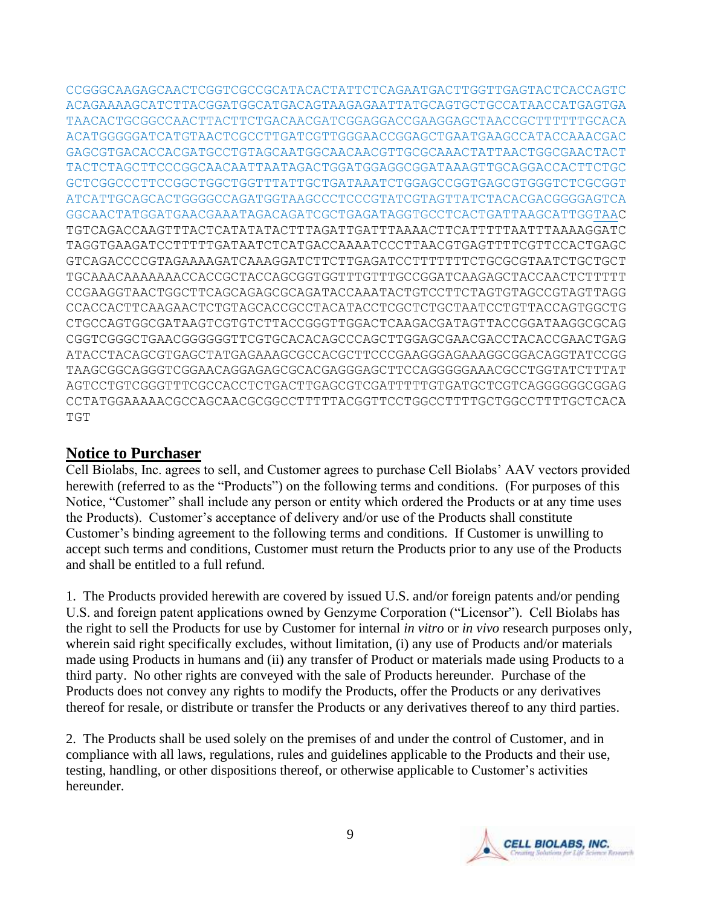CCGGGCAAGAGCAACTCGGTCGCCGCATACACTATTCTCAGAATGACTTGGTTGAGTACTCACCAGTC ACAGAAAAGCATCTTACGGATGGCATGACAGTAAGAGAATTATGCAGTGCTGCCATAACCATGAGTGA TAACACTGCGGCCAACTTACTTCTGACAACGATCGGAGGACCGAAGGAGCTAACCGCTTTTTTGCACA ACATGGGGGATCATGTAACTCGCCTTGATCGTTGGGAACCGGAGCTGAATGAAGCCATACCAAACGAC GAGCGTGACACCACGATGCCTGTAGCAATGGCAACAACGTTGCGCAAACTATTAACTGGCGAACTACT TACTCTAGCTTCCCGGCAACAATTAATAGACTGGATGGAGGCGGATAAAGTTGCAGGACCACTTCTGC GCTCGGCCCTTCCGGCTGGCTGGTTTATTGCTGATAAATCTGGAGCCGGTGAGCGTGGGTCTCGCGGT ATCATTGCAGCACTGGGGCCAGATGGTAAGCCCTCCCGTATCGTAGTTATCTACACGACGGGGAGTCA GGCAACTATGGATGAACGAAATAGACAGATCGCTGAGATAGGTGCCTCACTGATTAAGCATTGGTAAC TGTCAGACCAAGTTTACTCATATATACTTTAGATTGATTTAAAACTTCATTTTTAATTTAAAAGGATC TAGGTGAAGATCCTTTTTGATAATCTCATGACCAAAATCCCTTAACGTGAGTTTTCGTTCCACTGAGC GTCAGACCCCGTAGAAAAGATCAAAGGATCTTCTTGAGATCCTTTTTTTCTGCGCGTAATCTGCTGCT TGCAAACAAAAAAACCACCGCTACCAGCGGTGGTTTGTTTGCCGGATCAAGAGCTACCAACTCTTTTT CCGAAGGTAACTGGCTTCAGCAGAGCGCAGATACCAAATACTGTCCTTCTAGTGTAGCCGTAGTTAGG CCACCACTTCAAGAACTCTGTAGCACCGCCTACATACCTCGCTCTGCTAATCCTGTTACCAGTGGCTG CTGCCAGTGGCGATAAGTCGTGTCTTACCGGGTTGGACTCAAGACGATAGTTACCGGATAAGGCGCAG CGGTCGGGCTGAACGGGGGGTTCGTGCACACAGCCCAGCTTGGAGCGAACGACCTACACCGAACTGAG ATACCTACAGCGTGAGCTATGAGAAAGCGCCACGCTTCCCGAAGGGAGAAAGGCGGACAGGTATCCGG TAAGCGGCAGGGTCGGAACAGGAGAGCGCACGAGGGAGCTTCCAGGGGGAAACGCCTGGTATCTTTAT AGTCCTGTCGGGTTTCGCCACCTCTGACTTGAGCGTCGATTTTTGTGATGCTCGTCAGGGGGGCGGAG CCTATGGAAAAACGCCAGCAACGCGGCCTTTTTACGGTTCCTGGCCTTTTGCTGGCCTTTTGCTCACA TGT

### **Notice to Purchaser**

Cell Biolabs, Inc. agrees to sell, and Customer agrees to purchase Cell Biolabs' AAV vectors provided herewith (referred to as the "Products") on the following terms and conditions. (For purposes of this Notice, "Customer" shall include any person or entity which ordered the Products or at any time uses the Products). Customer's acceptance of delivery and/or use of the Products shall constitute Customer's binding agreement to the following terms and conditions. If Customer is unwilling to accept such terms and conditions, Customer must return the Products prior to any use of the Products and shall be entitled to a full refund.

1. The Products provided herewith are covered by issued U.S. and/or foreign patents and/or pending U.S. and foreign patent applications owned by Genzyme Corporation ("Licensor"). Cell Biolabs has the right to sell the Products for use by Customer for internal *in vitro* or *in vivo* research purposes only, wherein said right specifically excludes, without limitation, (i) any use of Products and/or materials made using Products in humans and (ii) any transfer of Product or materials made using Products to a third party. No other rights are conveyed with the sale of Products hereunder. Purchase of the Products does not convey any rights to modify the Products, offer the Products or any derivatives thereof for resale, or distribute or transfer the Products or any derivatives thereof to any third parties.

2. The Products shall be used solely on the premises of and under the control of Customer, and in compliance with all laws, regulations, rules and guidelines applicable to the Products and their use, testing, handling, or other dispositions thereof, or otherwise applicable to Customer's activities hereunder.

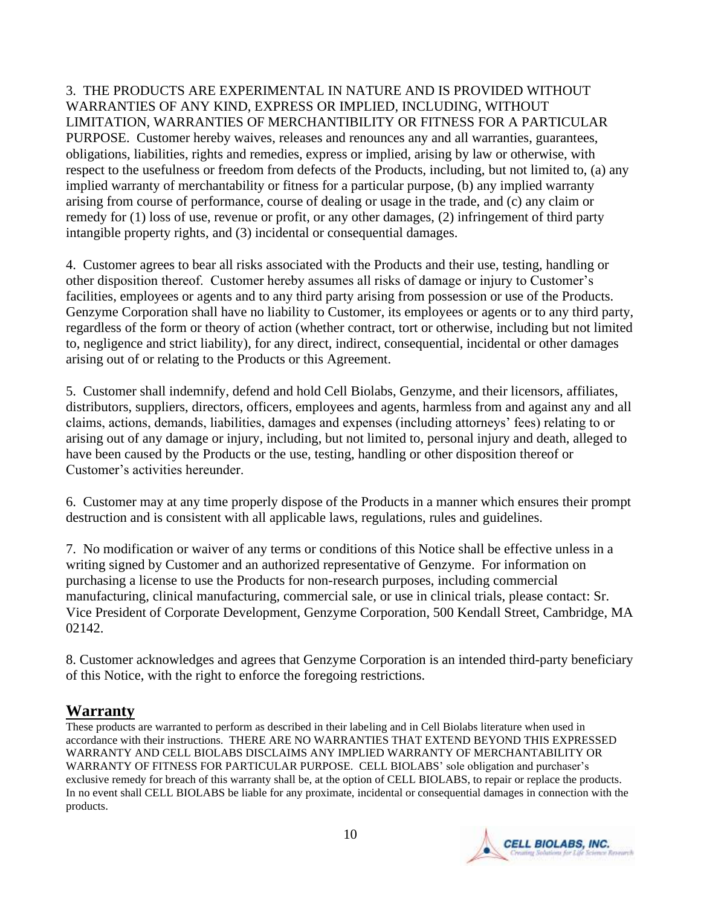3. THE PRODUCTS ARE EXPERIMENTAL IN NATURE AND IS PROVIDED WITHOUT WARRANTIES OF ANY KIND, EXPRESS OR IMPLIED, INCLUDING, WITHOUT LIMITATION, WARRANTIES OF MERCHANTIBILITY OR FITNESS FOR A PARTICULAR PURPOSE. Customer hereby waives, releases and renounces any and all warranties, guarantees, obligations, liabilities, rights and remedies, express or implied, arising by law or otherwise, with respect to the usefulness or freedom from defects of the Products, including, but not limited to, (a) any implied warranty of merchantability or fitness for a particular purpose, (b) any implied warranty arising from course of performance, course of dealing or usage in the trade, and (c) any claim or remedy for (1) loss of use, revenue or profit, or any other damages, (2) infringement of third party intangible property rights, and (3) incidental or consequential damages.

4. Customer agrees to bear all risks associated with the Products and their use, testing, handling or other disposition thereof. Customer hereby assumes all risks of damage or injury to Customer's facilities, employees or agents and to any third party arising from possession or use of the Products. Genzyme Corporation shall have no liability to Customer, its employees or agents or to any third party, regardless of the form or theory of action (whether contract, tort or otherwise, including but not limited to, negligence and strict liability), for any direct, indirect, consequential, incidental or other damages arising out of or relating to the Products or this Agreement.

5. Customer shall indemnify, defend and hold Cell Biolabs, Genzyme, and their licensors, affiliates, distributors, suppliers, directors, officers, employees and agents, harmless from and against any and all claims, actions, demands, liabilities, damages and expenses (including attorneys' fees) relating to or arising out of any damage or injury, including, but not limited to, personal injury and death, alleged to have been caused by the Products or the use, testing, handling or other disposition thereof or Customer's activities hereunder.

6. Customer may at any time properly dispose of the Products in a manner which ensures their prompt destruction and is consistent with all applicable laws, regulations, rules and guidelines.

7. No modification or waiver of any terms or conditions of this Notice shall be effective unless in a writing signed by Customer and an authorized representative of Genzyme. For information on purchasing a license to use the Products for non-research purposes, including commercial manufacturing, clinical manufacturing, commercial sale, or use in clinical trials, please contact: Sr. Vice President of Corporate Development, Genzyme Corporation, 500 Kendall Street, Cambridge, MA 02142.

8. Customer acknowledges and agrees that Genzyme Corporation is an intended third-party beneficiary of this Notice, with the right to enforce the foregoing restrictions.

# **Warranty**

These products are warranted to perform as described in their labeling and in Cell Biolabs literature when used in accordance with their instructions. THERE ARE NO WARRANTIES THAT EXTEND BEYOND THIS EXPRESSED WARRANTY AND CELL BIOLABS DISCLAIMS ANY IMPLIED WARRANTY OF MERCHANTABILITY OR WARRANTY OF FITNESS FOR PARTICULAR PURPOSE. CELL BIOLABS' sole obligation and purchaser's exclusive remedy for breach of this warranty shall be, at the option of CELL BIOLABS, to repair or replace the products. In no event shall CELL BIOLABS be liable for any proximate, incidental or consequential damages in connection with the products.